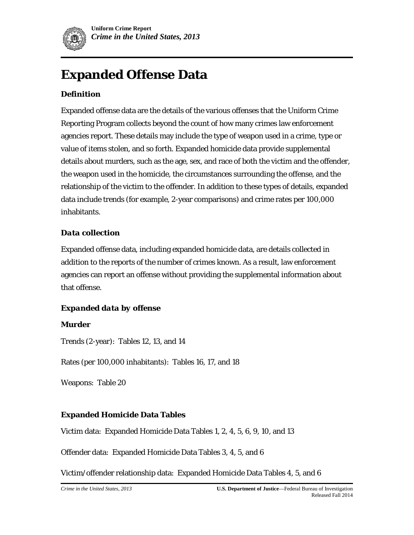

# **Expanded Offense Data**

# *Definition*

Expanded offense data are the details of the various offenses that the Uniform Crime Reporting Program collects beyond the count of how many crimes law enforcement agencies report. These details may include the type of weapon used in a crime, type or value of items stolen, and so forth. Expanded homicide data provide supplemental details about murders, such as the age, sex, and race of both the victim and the offender, the weapon used in the homicide, the circumstances surrounding the offense, and the relationship of the victim to the offender. In addition to these types of details, expanded data include trends (for example, 2-year comparisons) and crime rates per 100,000 inhabitants.

# *Data collection*

Expanded offense data, including expanded homicide data, are details collected in addition to the reports of the number of crimes known. As a result, law enforcement agencies can report an offense without providing the supplemental information about that offense.

# *Expanded data by offense*

## **Murder**

Trends (2-year): Tables 12, 13, and 14

Rates (per 100,000 inhabitants): Tables 16, 17, and 18

Weapons: Table 20

# **Expanded Homicide Data Tables**

Victim data: Expanded Homicide Data Tables 1, 2, 4, 5, 6, 9, 10, and 13

Offender data: Expanded Homicide Data Tables 3, 4, 5, and 6

Victim/offender relationship data: Expanded Homicide Data Tables 4, 5, and 6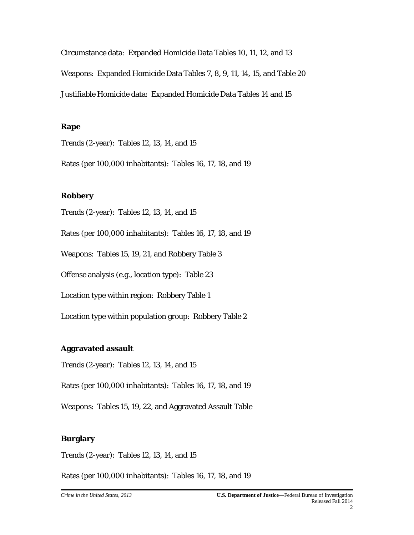Circumstance data: Expanded Homicide Data Tables 10, 11, 12, and 13 Weapons: Expanded Homicide Data Tables 7, 8, 9, 11, 14, 15, and Table 20 Justifiable Homicide data: Expanded Homicide Data Tables 14 and 15

#### **Rape**

Trends (2-year): Tables 12, 13, 14, and 15

Rates (per 100,000 inhabitants): Tables 16, 17, 18, and 19

#### **Robbery**

Trends (2-year): Tables 12, 13, 14, and 15

Rates (per 100,000 inhabitants): Tables 16, 17, 18, and 19

Weapons: Tables 15, 19, 21, and Robbery Table 3

Offense analysis (e.g., location type): Table 23

Location type within region: Robbery Table 1

Location type within population group: Robbery Table 2

#### **Aggravated assault**

Trends (2-year): Tables 12, 13, 14, and 15

Rates (per 100,000 inhabitants): Tables 16, 17, 18, and 19

Weapons: Tables 15, 19, 22, and Aggravated Assault Table

#### **Burglary**

Trends (2-year): Tables 12, 13, 14, and 15

Rates (per 100,000 inhabitants): Tables 16, 17, 18, and 19